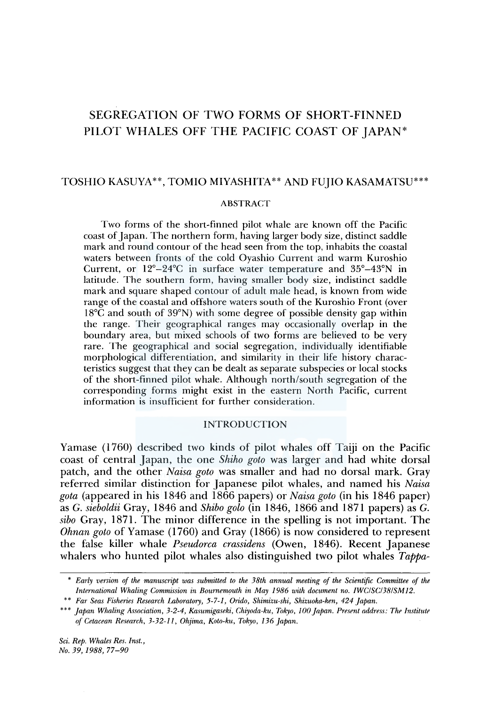# SEGREGATION OF TWO FORMS OF SHORT-FINNED PILOT WHALES OFF THE PACIFIC COAST OF JAPAN\*

# TOSHIO KASUYA\*\*, TOMIO MIYASHITA\*\* AND FUJIO KASAMATSU\*\*\*

# ABSTRACT

Two forms of the short-finned pilot whale are known off the Pacific coast of Japan. The northern form, having larger body size, distinct saddle mark and round contour of the head seen from the top, inhabits the coastal waters between fronts of the cold Oyashio Current and warm Kuroshio Current, or l2°-24°C in surface water temperature and 35°-43°N in latitude. The southern form, having smaller body size, indistinct saddle mark and square shaped contour of adult male head, is known from wide range of the coastal and offshore waters south of the Kuroshio Front (over l 8°C and south of 39°N) with some degree of possible density gap within the range. Their geographical ranges may occasionally overlap in the boundary area, but mixed schools of two forms are believed to be very rare. The geographical and social segregation, individually identifiable morphological differentiation, and similarity in their life history characteristics suggest that they can be dealt as separate subspecies or local stocks of the short-finned pilot whale. Although north/south segregation of the corresponding forms might exist in the eastern North Pacific, current information is insufficient for further consideration.

# INTRODUCTION

Yamase (1760) described two kinds of pilot whales off Taiji on the Pacific coast of central Japan, the one *Shiho goto* was larger and had white dorsal patch, and the other *Naisa goto* was smaller and had no dorsal mark. Gray referred similar distinction for Japanese pilot whales, and named his *Naisa gota* (appeared in his 1846 and 1866 papers) or *Naisa goto* (in his 1846 paper) as G. *sieboldii* Gray, 1846 and *Shiba golo* (in 1846, 1866 and 1871 papers) as G. *sibo* Gray, 1871. The minor difference in the spelling is not important. The *Ohnan goto* of Yamase (1760) and Gray (1866) is now considered to represent the false killer whale *Pseudorca crassidens* (Owen, 1846). Recent Japanese whalers who hunted pilot whales also distinguished two pilot whales *Tappa-*

*Sci. Rep. Whales Res. Inst., !Vo.39,1988, 77-90* 

<sup>\*</sup> *Early version of the manuscript was submitted to the 38th annual meeting of the Scientific Committee of the International Whaling Commission in Bournemouth in May 1986 with document no. IWCISC/38/SMJ2.* 

<sup>\*\*</sup> *Far Seas Fisheries Research Laboratory, 5-7-1, Orido, Shimizu-ski, Shizuoka-ken, 424 Japan.* 

<sup>\*\*\*</sup> *Japan Whaling Association, 3-2-4, Kasumigaseki, Chiyoda-ku, Tokyo, JOO Japan. Present address: The Institute of Cetacean Research, 3-32-ll, Ohjima, Koto-ku, Tokyo, 136 Japan.*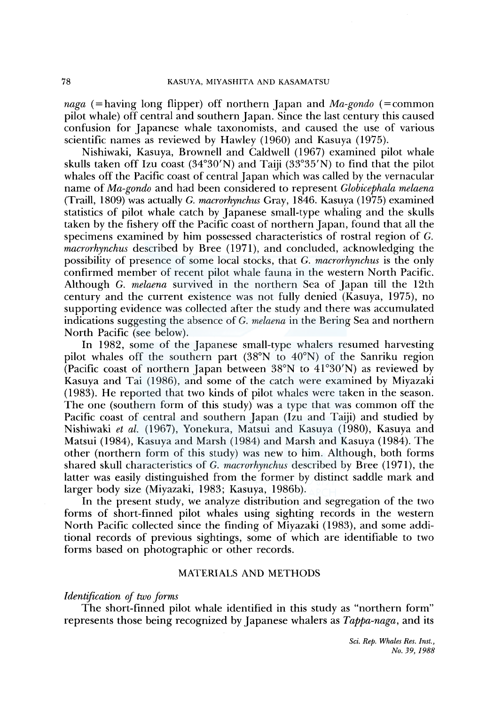*naga* (=having long flipper) off northern Japan and *Ma-gondo* (=common pilot whale) off central and southern Japan. Since the last century this caused confusion for Japanese whale taxonomists, and caused the use of various scientific names as reviewed by Hawley (1960) and Kasuya (1975).

Nishiwaki, Kasuya, Brownell and Caldwell ( 1967) examined pilot whale skulls taken off Izu coast (34°30'N) and Taiji (33°35'N) to find that the pilot whales off the Pacific coast of central Japan which was called by the vernacular name of *Ma-gondo* and had been considered to represent *Globicephala melaena*  (Traill, 1809) was actually G. *macrorhynchus* Gray, 1846. Kasuya (1975) examined statistics of pilot whale catch by Japanese small-type whaling and the skulls taken by the fishery off the Pacific coast of northern Japan, found that all the specimens examined by him possessed characteristics of rostral region of G. *macrorhynchus* described by Bree (1971), and concluded, acknowledging the possibility of presence of some local stocks, that G. *macrorhynchus* is the only confirmed member of recent pilot whale fauna in the western North Pacific. Although G. *melaena* survived in the northern Sea of Japan till the 12th century and the current existence was not fully denied (Kasuya, 1975), no supporting evidence was collected after the study and there was accumulated indications suggesting the absence of G. *melaena* in the Bering Sea and northern North Pacific (see below).

In 1982, some of the Japanese small-type whalers resumed harvesting pilot whales off the southern part (38°N to 40°N) of the Sanriku region (Pacific coast of northern Japan between  $38^{\circ}$ N to  $41^{\circ}30^{\prime}$ N) as reviewed by Kasuya and Tai (1986), and some of the catch were examined by Miyazaki (1983). He reported that two kinds of pilot whales were taken in the season. The one (southern form of this study) was a type that was common off the Pacific coast of central and southern Japan (Izu and Taiji) and studied by Nishiwaki *et al.* (1967), Yonekura, Matsui and Kasuya (1980), Kasuya and Matsui (1984), Kasuya and Marsh (1984) and Marsh and Kasuya (1984). The other (northern form of this study) was new to him. Although, both forms shared skull characteristics of G. *macrorhynchus* described by Bree (1971), the latter was easily distinguished from the former by distinct saddle mark and larger body size (Miyazaki, 1983; Kasuya, 1986b).

In the present study, we analyze distribution and segregation of the two forms of short-finned pilot whales using sighting records in the western North Pacific collected since the finding of Miyazaki (1983), and some additional records of previous sightings, some of which are identifiable to two forms based on photographic or other records.

# MATERIALS AND METHODS

# $$

The short-finned pilot whale identified in this study as "northern form" represents those being recognized by Japanese whalers as *Tappa-naga,* and its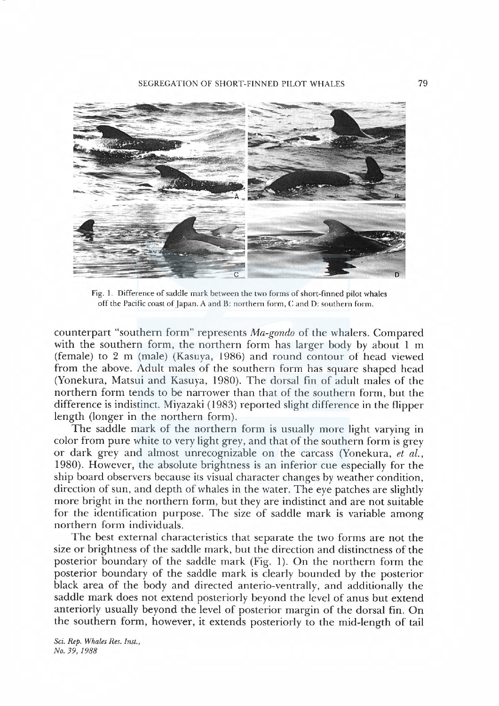

Fig. 1. Difference of saddle mark between the two forms of short-finned pilot whales off the Pacific coast of Japan. A and B: northern form, C and D: southern form.

counterpart"southern form" represents Ma-gondo of the whalers. Compared with the southern form, the northern form has larger body by about 1 m (female) to 2 m (male) (Kasuya, 1986) and round contour of head viewed from the above. Adult males of the southern form has square shaped head (Yonekura, Matsui and Kasuya, 1980). The dorsal fin of adult males of the northern form tends to be narrower than that of the southern form, but the difference is indistinct. Miyazaki (1983) reported slight difference in the flipper length (longer in the northern form).

The saddle mark of the northern form is usualy more light varying in color from pure white to very light grey, and that of the southern form is grey or dark grey and almost unrecognizable on the carcass (Yonekura, et al., 1980). However, the absolute brightness is an inferior cue especialy for the ship board observers because its visual character changes by weather condition, direction of sun, and depth of whales in the water. The eye patches are slightly more bright in the northern form, but they are indistinct and are not suitable for the identification purpose. The size of saddle mark is variable among northern form individuals.

The best external characteristics that separate the two forms are not the size or brightness of the saddle mark, but the direction and distinctness of the posterior boundary of the saddle mark (Fig. 1). On the northern form the posterior boundary of the saddle mark is clearly bounded by the posterior black area of the body and directed anterio-ventrally, and additionaly the saddle mark does not extend posteriorly beyond the level of anus but extend anteriorly usualy beyond the level of posterior margin of the dorsal fin. On the southern form, however, it extends posteriorly to the mid-length of tail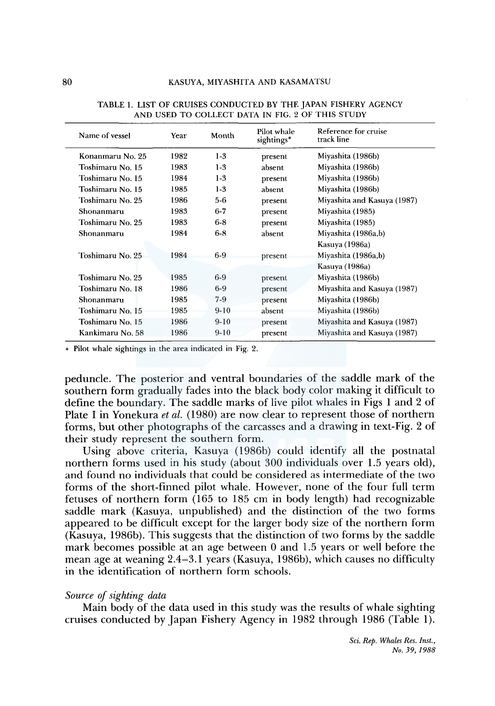| Name of vessel<br>Year |      | Month   | Pilot whale<br>sightings* | Reference for cruise<br>track line |  |  |  |
|------------------------|------|---------|---------------------------|------------------------------------|--|--|--|
| Konanmaru No. 25       | 1982 | $1-3$   | present                   | Miyashita (1986b)                  |  |  |  |
| Toshimaru No. 15       | 1983 | $1-3$   | absent                    | Miyashita (1986b)                  |  |  |  |
| Toshimaru No. 15       | 1984 | $1-3$   | present                   | Miyashita (1986b)                  |  |  |  |
| Toshimaru No. 15       | 1985 | $1-3$   | absent                    | Miyashita (1986b)                  |  |  |  |
| Toshimaru No. 25       | 1986 | $5-6$   | present                   | Miyashita and Kasuya (1987)        |  |  |  |
| Shonanmaru             | 1983 | $6 - 7$ | present                   | Miyashita (1985)                   |  |  |  |
| Toshimaru No. 25       | 1983 | $6 - 8$ | present                   | Miyashita (1985)                   |  |  |  |
| Shonanmaru             | 1984 | $6-8$   | absent                    | Miyashita (1986a,b)                |  |  |  |
|                        |      |         |                           | Kasuya (1986a)                     |  |  |  |
| Toshimaru No. 25       | 1984 | $6-9$   | present                   | Miyashita (1986a,b)                |  |  |  |
|                        |      |         |                           | Kasuya (1986a)                     |  |  |  |
| Toshimaru No. 25       | 1985 | $6-9$   | present                   | Miyashita (1986b)                  |  |  |  |
| Toshimaru No. 18       | 1986 | $6-9$   | present                   | Miyashita and Kasuya (1987)        |  |  |  |
| Shonanmaru             | 1985 | $7-9$   | present                   | Miyashita (1986b)                  |  |  |  |
| Toshimaru No. 15       | 1985 | $9-10$  | absent                    | Miyashita (1986b)                  |  |  |  |
| Toshimaru No. 15       | 1986 | $9-10$  | present                   | Miyashita and Kasuya (1987)        |  |  |  |
| Kankimaru No. 58       | 1986 | $9-10$  | present                   | Miyashita and Kasuya (1987)        |  |  |  |

TABLE 1. LIST OF CRUISES CONDUCTED BY THE JAPAN FISHERY AGENCY AND USED TO COLLECT DATA IN FIG. 2 OF THIS STUDY

• Pilot whale sightings in the area indicated in Fig. 2.

peduncle. The posterior and ventral boundaries of the saddle mark of the southern form gradually fades into the black body color making it difficult to define the boundary. The saddle marks of live pilot whales in Figs 1 and 2 of Plate I in Yonekura *et al.* (1980) are now clear to represent those of northern forms, but other photographs of the carcasses and a drawing in text-Fig. 2 of their study represent the southern form.

Using above criteria, Kasuya (1986b) could identify all the postnatal northern forms used in his study (about 300 individuals over 1.5 years old), and found no individuals that could be considered as intermediate of the two forms of the short-finned pilot whale. However, none of the four full term fetuses of northern form (165 to 185 cm in body length) had recognizable saddle mark (Kasuya, unpublished) and the distinction of the two forms appeared to be difficult except for the larger body size of the northern form (Kasuya, **l** 986b). This suggests that the distinction of two forms by the saddle mark becomes possible at an age between 0 and 1.5 years or well before the mean age at weaning 2.4-3.1 years (Kasuya, **l** 986b), which causes no difficulty in the identification of northern form schools.

#### *Source of sighting data*

Main body of the data used in this study was the results of whale sighting cruises conducted by Japan Fishery Agency in 1982 through 1986 (Table 1).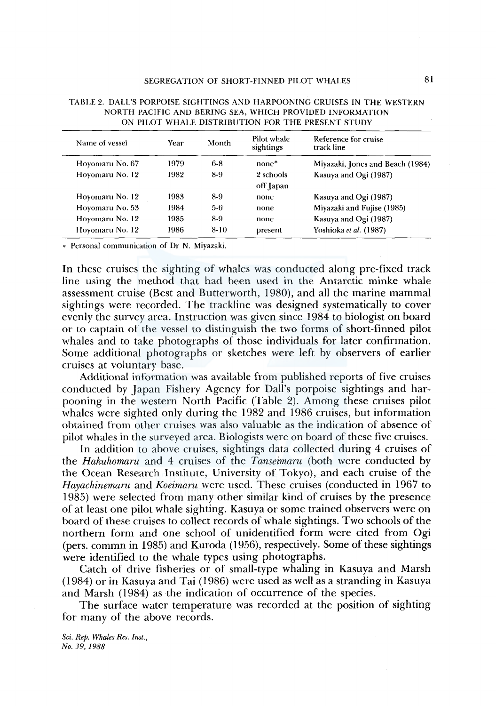| Name of vessel  | Year | Month  | Pilot whale<br>sightings | Reference for cruise<br>track line |  |  |
|-----------------|------|--------|--------------------------|------------------------------------|--|--|
| Hoyomaru No. 67 | 1979 | $6-8$  | $none*$                  | Miyazaki, Jones and Beach (1984)   |  |  |
| Hoyomaru No. 12 | 1982 | 8-9    | 2 schools<br>off Japan   | Kasuya and Ogi (1987)              |  |  |
| Hoyomaru No. 12 | 1983 | 8-9    | none                     | Kasuya and Ogi (1987)              |  |  |
| Hoyomaru No. 53 | 1984 | 5-6    | none                     | Miyazaki and Fujise (1985)         |  |  |
| Hoyomaru No. 12 | 1985 | 8-9    | none.                    | Kasuya and Ogi (1987)              |  |  |
| Hoyomaru No. 12 | 1986 | $8-10$ | present                  | Yoshioka et al. (1987)             |  |  |

TABLE 2. DALL'S PORPOISE SIGHTINGS AND HARPOONING CRUISES IN THE WESTERN NORTH PACIFIC AND BERING SEA, WHICH PROVIDED INFORMATION ON PILOT WHALE DISTRIBUTION FOR THE PRESENT STUDY

• Personal communication of Dr N. Miyazaki.

In these cruises the sighting of whales was conducted along pre-fixed track line using the method that had been used in the Antarctic minke whale assessment cruise (Best and Butterworth, I 980), and all the marine mammal sightings were recorded. The trackline was designed systematically to cover evenly the survey area. Instruction was given since I 984 to biologist on board or to captain of the vessel to distinguish the two forms of short-finned pilot whales and to take photographs of those individuals for later confirmation. Some additional photographs or sketches were left by observers of earlier cruises at voluntary base.

Additional information was available from published reports of five cruises conducted by Japan Fishery Agency for Dall's porpoise sightings and harpooning in the western North Pacific (Table 2). Among these cruises pilot whales were sighted only during the 1982 and 1986 cruises, but information obtained from other cruises was also valuable as the indication of absence of pilot whales in the surveyed area. Biologists were on board of these five cruises.

In addition to above cruises, sightings data collected during 4 cruises of the *Hakuhomaru* and 4 cruises of the *Tanseimaru* (both were conducted by the Ocean Research Institute, University of Tokyo), and each cruise of the *Hayachinemaru* and *Koeimaru* were used. These cruises (conducted in 1967 to I 985) were selected from many other similar kind of cruises by the presence of at least one pilot whale sighting. Kasuya or some trained observers were on board of these cruises to collect records of whale sightings. Two schools of the northern form and one school of unidentified form were cited from Ogi (pers. commn in 1985) and Kuroda (1956), respectively. Some of these sightings were identified to the whale types using photographs.

Catch of drive fisheries or of small-type whaling in Kasuya and Marsh (I 984) or in Kasuya and Tai (I 986) were used as well as a stranding in Kasuya and Marsh (1984) as the indication of occurrence of the species.

The surface water temperature was recorded at the position of sighting for many of the above records.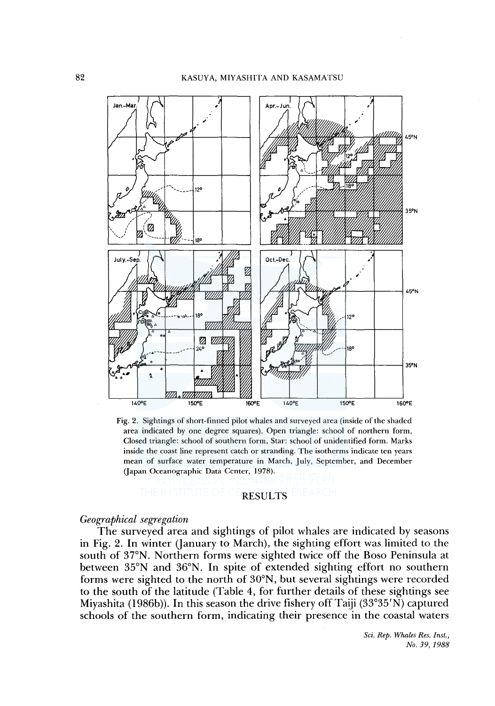

Fig. 2. Sightings of short-finned pilot whales and surveyed area (inside of the shaded area indicated by one degree squares). Open triangle: school of northern form, Closed triangle: school of southern form, Star: school of unidentified form. Marks inside the coast line represent catch or stranding. The isotherms indicate ten years mean of surface water temperature in March, July, September, and December (Japan Oceanographic Data Center, 1978).

# RESULTS

# *Geographical segregation*

The surveyed area and sightings of pilot whales are indicated by seasons in Fig. 2. In winter (January to March), the sighting effort was limited to the south of 37°N. Northern forms were sighted twice off the Boso Peninsula at between 35°N and 36°N. In spite of extended sighting effort no southern forms were sighted to the north of 30°N, but several sightings were recorded to the south of the latitude (Table 4, for further details of these sightings see Miyashita (1986b)). In this season the drive fishery off Taiji (33°35'N) captured schools of the southern form, indicating their presence in the coastal waters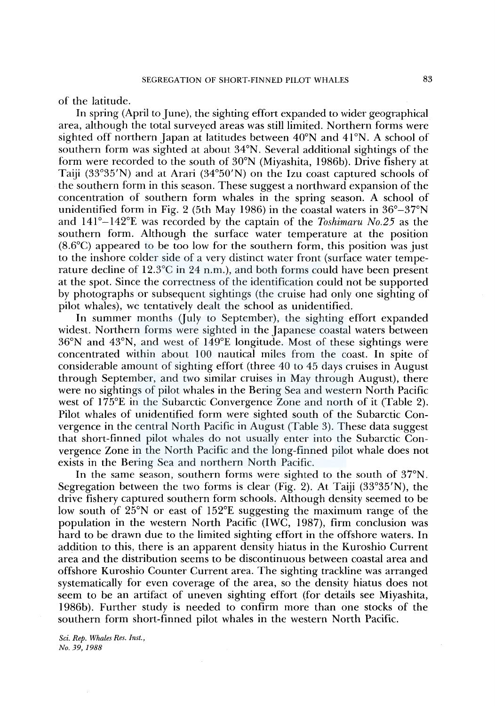of the latitude.

In spring (April to June), the sighting effort expanded to wider geographical area, although the total surveyed areas was still limited. Northern forms were sighted off northern Japan at latitudes between 40°N and 41°N. A school of southern form was sighted at about 34°N. Several additional sightings of the form were recorded to the south of 30°N (Miyashita, l 986b). Drive fishery at Taiji (33°35'N) and at Arari (34°50'N) on the Izu coast captured schools of the southern form in this season. These suggest a northward expansion of the concentration of southern form whales in the spring season. A school of unidentified form in Fig. 2 (5th May 1986) in the coastal waters in  $36^{\circ} - 37^{\circ}N$ and 141°-142°£ was recorded by the captain of the *Toshimaru No.25* as the southern form. Although the surface water temperature at the position (8.6°C) appeared to be too low for the southern form, this position was just to the inshore colder side of a very distinct water front (surface water temperature decline of 12.3°C in 24 n.m.), and both forms could have been present at the spot. Since the correctness of the identification could not be supported by photographs or subsequent sightings (the cruise had only one sighting of pilot whales), we tentatively dealt the school as unidentified.

In summer months (July to September), the sighting effort expanded widest. Northern forms were sighted in the Japanese coastal waters between 36°N and 43°N, and west of l 49°E longitude. Most of these sightings were concentrated within about I 00 nautical miles from the coast. In spite of considerable amount of sighting effort (three 40 to 45 days cruises in August through September, and two similar cruises in May through August), there were no sightings of pilot whales in the Bering Sea and western North Pacific west of 175<sup>°</sup>E in the Subarctic Convergence Zone and north of it (Table 2). Pilot whales of unidentified form were sighted south of the Subarctic Convergence in the central North Pacific in August (Table 3). These data suggest that short-finned pilot whales do not usually enter into the Subarctic Convergence Zone in the North Pacific and the long-finned pilot whale does not exists in the Bering Sea and northern North Pacific.

In the same season, southern forms were sighted to the south of 37°N. Segregation between the two forms is clear (Fig. 2). At Taiji  $(33^{\circ}35'N)$ , the drive fishery captured southern form schools. Although density seemed to be low south of 25°N or east of 152°E suggesting the maximum range of the population in the western North Pacific (IWC, 1987), firm conclusion was hard to be drawn due to the limited sighting effort in the offshore waters. In addition to this, there is an apparent density hiatus in the Kuroshio Current area and the distribution seems to be discontinuous between coastal area and offshore Kuroshio Counter Current area. The sighting trackline was arranged systematically for even coverage of the area, so the density hiatus does not seem to be an artifact of uneven sighting effort (for details see Miyashita, l 986b). Further study is needed to confirm more than one stocks of the southern form short-finned pilot whales in the western North Pacific.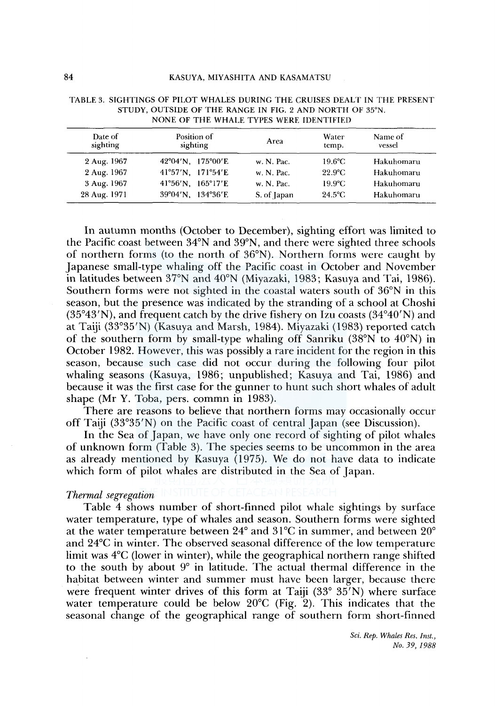| Date of<br>sighting | Position of<br>sighting | Area        | Water<br>temp.   | Name of<br>vessel |  |
|---------------------|-------------------------|-------------|------------------|-------------------|--|
| 2 Aug. 1967         | 42°04'N. 175°00'E       | w. N. Pac.  | $19.6^{\circ}$ C | Hakuhomaru        |  |
| 2 Aug. 1967         | 41°57'N, 171°54'E       | w. N. Pac.  | $22.9^{\circ}$ C | Hakuhomaru        |  |
| 3 Aug. 1967         | 41°56'N, 165°17'E       | w. N. Pac.  | $19.9^{\circ}$ C | Hakuhomaru        |  |
| 28 Aug. 1971        | 39°04'N, 134°36'E       | S. of Japan | $24.5^{\circ}$ C | Hakuhomaru        |  |

| TABLE 3. SIGHTINGS OF PILOT WHALES DURING THE CRUISES DEALT IN THE PRESENT |
|----------------------------------------------------------------------------|
| STUDY, OUTSIDE OF THE RANGE IN FIG. 2 AND NORTH OF 35°N.                   |
| NONE OF THE WHALE TYPES WERE IDENTIFIED                                    |

In autumn months (October to December), sighting effort was limited to the Pacific coast between 34°N and 39°N, and there were sighted three schools of northern forms (to the north of 36°N). Northern forms were caught by Japanese small-type whaling off the Pacific coast in October and November in latitudes between 37°N and 40°N (Miyazaki, 1983; Kasuya and Tai, 1986). Southern forms were not sighted in the coastal waters south of 36°N in this season, but the presence was indicated by the stranding of a school at Choshi  $(35°43'N)$ , and frequent catch by the drive fishery on Izu coasts  $(34°40'N)$  and at Taiji (33°35'N) (Kasuya and Marsh, 1984). Miyazaki (1983) reported catch of the southern form by small-type whaling off Sanriku (38°N to  $40^{\circ}$ N) in October 1982. However, this was possibly a rare incident for the region in this season, because such case did not occur during the following four pilot whaling seasons (Kasuya, 1986; unpublished; Kasuya and Tai, 1986) and because it was the first case for the gunner to hunt such short whales of adult shape (Mr Y. Toba, pers. commn in 1983).

There are reasons to believe that northern forms may occasionally occur off Taiji (33°35'N) on the Pacific coast of central Japan (see Discussion).

In the Sea of Japan, we have only one record of sighting of pilot whales of unknown form (Table 3). The species seems to be uncommon in the area as already mentioned by Kasuya (1975). We do not have data to indicate which form of pilot whales are distributed in the Sea of Japan.

### *Thermal segregation*

Table 4 shows number of short-finned pilot whale sightings by surface water temperature, type of whales and season. Southern forms were sighted at the water temperature between 24° and 31°C in summer, and between 20° and 24°C in winter. The observed seasonal difference of the low temperature limit was 4°C (lower in winter), while the geographical northern range shifted to the south by about 9° in latitude. The actual thermal difference in the habitat between winter and summer must have been larger, because there were frequent winter drives of this form at Taiji (33° 35'N) where surface water temperature could be below  $20^{\circ}$ C (Fig. 2). This indicates that the seasonal change of the geographical range of southern form short-finned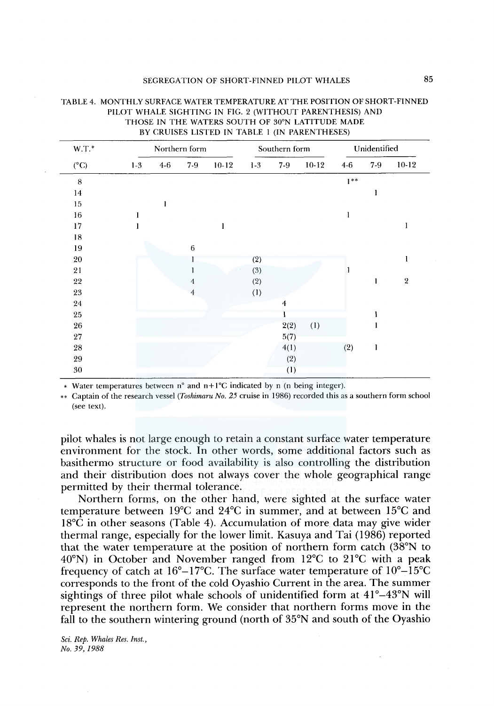| $W.T.*$<br>$(^{\circ}C)$ |       | Northern form |                 |         | Southern form |                         |         | Unidentified |              |            |
|--------------------------|-------|---------------|-----------------|---------|---------------|-------------------------|---------|--------------|--------------|------------|
|                          | $1-3$ | $4 - 6$       | $7 - 9$         | $10-12$ | $1-3$         | $7-9$                   | $10-12$ | $4-6$        | $7-9$        | $10-12$    |
| 8                        |       |               |                 |         |               |                         |         | $1**$        |              |            |
| 14                       |       |               |                 |         |               |                         |         |              | ı            |            |
| 15                       |       | 1             |                 |         |               |                         |         |              |              |            |
| $16\,$                   |       |               |                 |         |               |                         |         | I            |              |            |
| $17\,$                   |       |               |                 | 1       |               |                         |         |              |              | 1          |
| 18                       |       |               |                 |         |               |                         |         |              |              |            |
| 19                       |       |               | $6\phantom{1}6$ |         |               |                         |         |              |              |            |
| 20                       |       |               |                 |         | (2)           |                         |         |              |              | 1          |
| 21                       |       |               |                 |         | (3)           |                         |         |              |              |            |
| 22                       |       |               | 4               |         | (2)           |                         |         |              | 1            | $\sqrt{2}$ |
| 23                       |       |               | $\overline{4}$  |         | (1)           |                         |         |              |              |            |
| 24                       |       |               |                 |         |               | $\overline{\mathbf{4}}$ |         |              |              |            |
| 25                       |       |               |                 |         |               | Ŧ                       |         |              |              |            |
| 26                       |       |               |                 |         |               | 2(2)                    | (1)     |              |              |            |
| 27                       |       |               |                 |         |               | 5(7)                    |         |              |              |            |
| 28                       |       |               |                 |         |               | 4(1)                    |         | (2)          | $\mathbf{l}$ |            |
| 29                       |       |               |                 |         |               | (2)                     |         |              |              |            |
| 30                       |       |               |                 |         |               | (1)                     |         |              |              |            |

# TABLE 4. MONTHLY SURFACE WATER TEMPERATURE ATTHE POSITION OF SHORT-FINNED PILOT WHALE SIGHTING IN FIG. 2 (WITHOUT PARENTHESIS) AND THOSE IN THE WATERS SOUTH OF 30°N LATITUDE MADE

• Water temperatures between n° and n+ l°C indicated by n (n being integer).

\*\* Captain of the research vessel *(Toshimaru No. 25* cruise in 1986) recorded this as a southern form school (see text).

pilot whales is not large enough to retain a constant surface water temperature environment for the stock. In other words, some additional factors such as basithermo structure or food availability is also controlling the distribution and their distribution does not always cover the whole geographical range permitted by their thermal tolerance.

Northern forms, on the other hand, were sighted at the surface water temperature between l9°C and 24°C in summer, and at between 15°C and  $18^{\circ}$ C in other seasons (Table 4). Accumulation of more data may give wider thermal range, especially for the lower limit. Kasuya and Tai (1986) reported that the water temperature at the position of northern form catch (38°N to 40°N) in October and November ranged from 12°C to 21°C with a peak frequency of catch at  $16^{\circ} - 17^{\circ}$ C. The surface water temperature of  $10^{\circ} - 15^{\circ}$ C corresponds to the front of the cold Oyashio Current in the area. The summer sightings of three pilot whale schools of unidentified form at 41°–43°N will represent the northern form. We consider that northern forms move in the fall to the southern wintering ground (north of 35°N and south of the Oyashio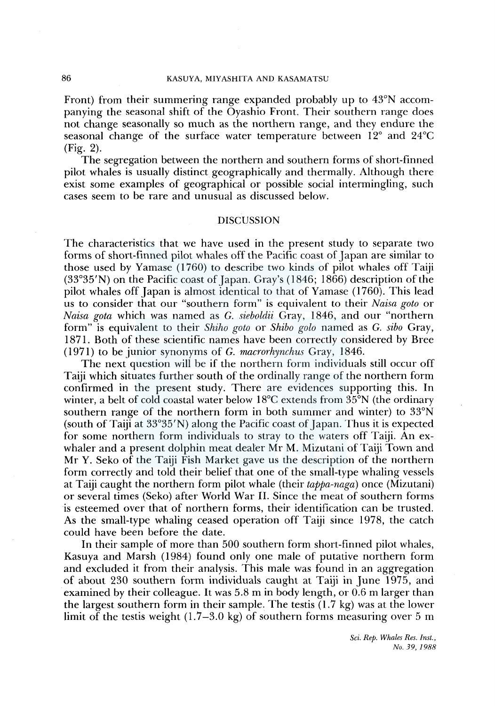## 86 KASUYA, MIYASHITA AND KASAMATSU

Front) from their summering range expanded probably up to 43°N accompanying the seasonal shift of the Oyashio Front. Their southern range does not change seasonally so much as the northern range, and they endure the seasonal change of the surface water temperature between  $12^{\circ}$  and  $24^{\circ}$ C (Fig. 2).

The segregation between the northern and southern forms of short-finned pilot whales is usually distinct geographically and thermally. Although there exist some examples of geographical or possible social intermingling, such cases seem to be rare and unusual as discussed below.

# **DISCUSSION**

The characteristics that we have used in the present study to separate two forms of short-finned pilot whales off the Pacific coast of Japan are similar to those used by Yamase (1760) to describe two kinds of pilot whales off Taiji (33°35'N) on the Pacific coast of Japan. Cray's (1846; 1866) description of the pilot whales off Japan is almost identical to that of Yamase (1760). This lead us to consider that our "southern form" is equivalent to their *Naisa goto* or *Naisa gota* which was named as G. *sieboldii* Gray, 1846, and our "northern form" is equivalent to their *Shiho goto* or *Shibo golo* named as G. *sibo* Gray, 1871. Both of these scientific names have been correctly considered by Bree (I 971) to be junior synonyms of G. *macrorhynchus* Gray, 1846.

The next question will be if the northern form individuals still occur off Taiji which situates further south of the ordinally range of the northern form confirmed in the present study. There are evidences supporting this. In winter, a belt of cold coastal water below 18<sup>o</sup>C extends from 35<sup>o</sup>N (the ordinary southern range of the northern form in both summer and winter) to 33°N (south of Taiji at 33°35'N) along the Pacific coast of Japan. Thus it is expected for some northern form individuals to stray to the waters off Taiji. An exwhaler and a present dolphin meat dealer Mr M. Mizutani of Taiji Town and Mr Y. Seko of the Taiji Fish Market gave us the description of the northern form correctly and told their belief that one of the small-type whaling vessels at Taiji caught the northern form pilot whale (their *tappa-naga)* once (Mizutani) or several times (Seko) after World War II. Since the meat of southern forms is esteemed over that of northern forms, their identification can be trusted. As the small-type whaling ceased operation off Taiji since 1978, the catch could have been before the date.

In their sample of more than 500 southern form short-finned pilot whales, Kasuya and Marsh (1984) found only one male of putative northern form and excluded it from their analysis. This male was found in an aggregation of about 230 southern form individuals caught at Taiji in June 1975, and examined by their colleague. It was 5.8 m in body length, or 0.6 m larger than the largest southern form in their sample. The testis (1.7 kg) was at the lower limit of the testis weight  $(1.7-3.0 \text{ kg})$  of southern forms measuring over 5 m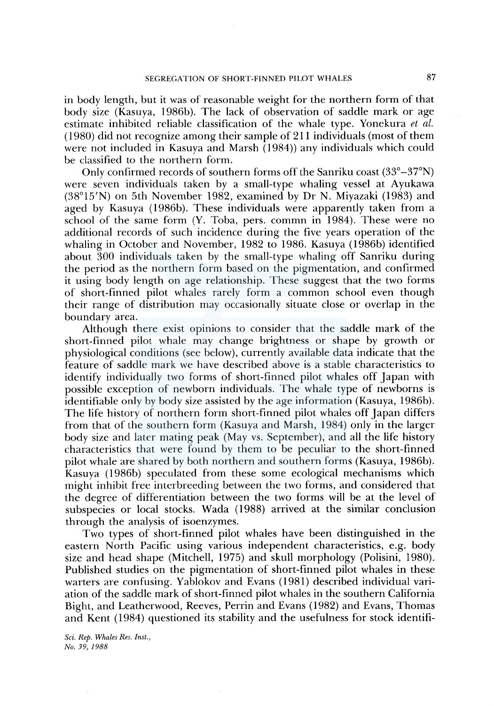in body length, but it was of reasonable weight for the northern form of that body size (Kasuya, 1986b). The lack of observation of saddle mark or age estimate inhibited reliable classification of the whale type. Yonekura *et al.*  ( 1980) did not recognize among their sample of 211 individuals (most of them were not included in Kasuya and Marsh (1984)) any individuals which could be classified to the northern form.

Only confirmed records of southern forms off the Sanriku coast (33°-37°N) were seven individuals taken by a small-type whaling vessel at Ayukawa (38°15'N) on 5th November 1982, examined by Dr N. Miyazaki (1983) and aged by Kasuya (1986b). These individuals were apparently taken from a school of the same form (Y. Toba, pers. commn in 1984). These were no additional records of such incidence during the five years operation of the whaling in October and November, 1982 to 1986. Kasuya (1986b) identified about 300 individuals taken by the small-type whaling off Sanriku during the period as the northern form based on the pigmentation, and confirmed it using body length on age relationship. These suggest that the two forms of short-finned pilot whales rarely form a common school even though their range of distribution may occasionally situate close or overlap in the boundary area.

Although there exist opinions to consider that the saddle mark of the short-finned pilot whale may change brightness or shape by growth or physiological conditions (see below), currently available data indicate that the feature of saddle mark we have described above is a stable characteristics to identify individually two forms of short-finned pilot whales off Japan with possible exception of newborn individuals. The whale type of newborns is identifiable only by body size assisted by the age information (Kasuya, 1986b). The life history of northern form short-finned pilot whales off Japan differs from that of the southern form (Kasuya and Marsh, 1984) only in the larger body size and later mating peak (May vs. September), and all the life history characteristics that were found by them to be peculiar to the short-finned pilot whale are shared by both northern and southern forms (Kasuya, 1986b). Kasuya (1986b) speculated from these some ecological mechanisms which might inhibit free interbreeding between the two forms, and considered that the degree of differentiation between the two forms will be at the level of subspecies or local stocks. Wada ( 1988) arrived at the similar conclusion through the analysis of isoenzymes.

Two types of short-finned pilot whales have been distinguished in the eastern North Pacific using various independent characteristics, e.g. body size and head shape (Mitchell, 1975) and skull morphology (Polisini, 1980). Published studies on the pigmentation of short-finned pilot whales in these warters are confusing. Yablokov and Evans (1981) described individual variation of the saddle mark of short-finned pilot whales in the southern California Bight, and Leatherwood, Reeves, Perrin and Evans (1982) and Evans, Thomas and Kent (1984) questioned its stability and the usefulness for stock identifi-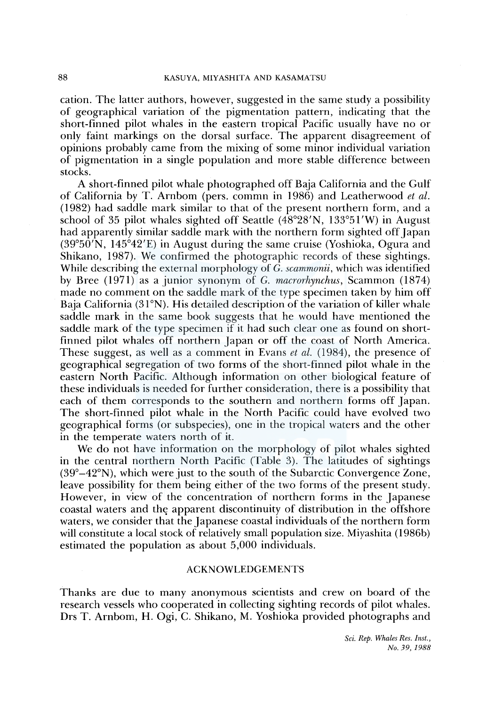cation. The latter authors, however, suggested in the same study a possibility of geographical variation of the pigmentation pattern, indicating that the short-finned pilot whales in the eastern tropical Pacific usually have no or only faint markings on the dorsal surface. The apparent disagreement of opinions probably came from the mixing of some minor individual variation of pigmentation in a single population and more stable difference between stocks.

A short-finned pilot whale photographed off Baja California and the Gulf of California by T. Amborn (pers. commn in 1986) and Leatherwood *et al.*  (1982) had saddle mark similar to that of the present northern form, and a school of 35 pilot whales sighted off Seattle (48°28'N, 133°5l'W) in August had apparently similar saddle mark with the northern form sighted off Japan (39°50'N, 145°42'E) in August during the same cruise (Yoshioka, Ogura and Shikano, 1987). We confirmed the photographic records of these sightings. While describing the external morphology of G. *scammonii,* which was identified by Bree (1971) as a junior synonym of G. *macrorhynchus,* Scammon (1874) made no comment on the saddle mark of the type specimen taken by him off Baja California (31°N). His detailed description of the variation of killer whale saddle mark in the same book suggests that he would have mentioned the saddle mark of the type specimen if it had such clear one as found on shortfinned pilot whales off northern Japan or off the coast of North America. These suggest, as well as a comment in Evans *et al.* (1984), the presence of geographical segregation of two forms of the short-finned pilot whale in the eastern North Pacific. Although information on other biological feature of these individuals is needed for further consideration, there is a possibility that each of them corresponds to the southern and northern forms off Japan. The short-finned pilot whale in the North Pacific could have evolved two geographical forms (or subspecies), one in the tropical waters and the other in the temperate waters north of it.

We do not have information on the morphology of pilot whales sighted in the central northern North Pacific (Table 3). The latitudes of sightings  $(39^{\circ}-42^{\circ}N)$ , which were just to the south of the Subarctic Convergence Zone, leave possibility for them being either of the two forms of the present study. However, in view of the concentration of northern forms in the Japanese coastal waters and the apparent discontinuity of distribution in the offshore waters, we consider that the Japanese coastal individuals of the northern form will constitute a local stock of relatively small population size. Miyashita (1986b) estimated the population as about 5,000 individuals.

### ACKNOWLEDGEMENTS

Thanks are due to many anonymous scientists and crew on board of the research vessels who cooperated in collecting sighting records of pilot whales. Drs T. Amborn, H. Ogi, C. Shikano, M. Yoshioka provided photographs and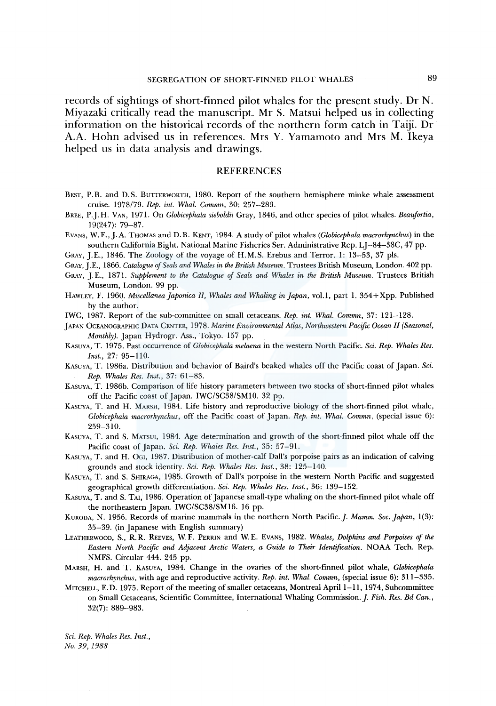records of sightings of short-finned pilot whales for the present study. Dr N. Miyazaki critically read the manuscript. Mr S. Matsui helped us in collecting information on the historical records of the northern form catch in Taiji. Dr A.A. Hohn advised us in references. Mrs Y. Yamamoto and Mrs M. Ikeya helped us in data analysis and drawings.

#### **REFERENCES**

- BEST, P.B. and D.S. BUTTERWORTH, 1980. Report of the southern hemisphere minke whale assessment cruise. 1978/79. *Rep. int. Whal. Commn,* 30: 257-283.
- BREE, P.J. H. VAN, 1971. On *Globicephala sieboldii* Gray, 1846, and other species of pilot whales. *Beaufortia,*  19(247): 79-87.
- EVANS, W. *E.,].* A. THOMAS and D. B. KENT, 1984. A study of pilot whales *(Globicephala macrorhynchus)* in the southern California Bight. National Marine Fisheries Ser. Administrative Rep. LI-84-38C, 47 pp.
- GRAY, J.E., 1846. The Zoology of the voyage of H.M.S. Erebus and Terror. 1: 13-53, 37 pls.
- GRAY, J.E., 1866. *Catalogue of Seals and Whales in the British Museum.* Trustees British Museum, London. 402 pp.
- GRAY, J.E., 1871. Supplement to the Catalogue of Seals and Whales in the British Museum. Trustees British Museum, London. 99 pp.
- HAWLEY, F. 1960. *Miscellanea Japonica* II, *Whales and Whaling in Japan,* vol.l, part 1. 354 + Xpp. Published by the author.
- IWC, 1987. Report of the sub-committee on small cetaceans. *Rep. int. Whal. Commn,* 37: 121-128.
- JAPAN OCEANOGRAPHIC DATA CENTER, 1978. *Marine Environmental Atlas, Northwestern Pacific Ocean* II *(Seasonal, Monthly).* Japan Hydrogr. Ass., Tokyo. 157 pp.
- KASUYA, T. 1975. Past occurrence of *Globicephala melaena* in the western North Pacific. *Sci. Rep. Whales Res. Inst.,* 27: 95-110.
- KASUYA, T. l 986a. Distribution and behavior of Baird's beaked whales off the Pacific coast of Japan. *Sci. Rep. Whales Res. Inst.,* 37: 61-83.
- KASUYA, T. l 986b. Comparison of life history parameters between two stocks of short-finned pilot whales off the Pacific coast of Japan. IWC/SC38/SM10. 32 pp.
- KASUYA, T. and H. MARSH, 1984. Life history and reproductive biology of the short-finned pilot whale, *Globicephala macrorhynchus,* off the Pacific coast of Japan. *Rep. int. Whal. Commn,* (special issue 6): 259-310.
- KASUYA, T. and S. MATSUI, 1984. Age determination and growth of the short-finned pilot whale off the Pacific coast of Japan. *Sci. Rep. Whales Res. Inst.,* 35: 57-91.
- KASUYA, T. and H. 0GI, 1987. Distribution of mother-calf Dall's porpoise pairs as an indication of calving grounds and stock identity. *Sci. Rep. Whales Res. Inst.,* 38: 125-140.
- KASUYA, T. and S. SHIRAGA, 1985. Growth of Dall's porpoise in the western North Pacific and suggested geographical growth differentiation. *Sci. Rep. Whales Res. Inst.,* 36: 139-152.
- KASUYA, T. and S. TAI, 1986. Operation of Japanese small-type whaling on the short-finned pilot whale off the northeastern Japan. IWC/SC38/SM16. 16 pp.
- KURODA, N. 1956. Records of marine mammals in the northern North Pacific.]. *Mamm. Soc. Japan,* 1(3): 35-39. (in Japanese with English summary)
- LEATHERWOOD, S., R.R. REEVES, W.F. PERRIN and W.E. EVANS, 1982. *Whales, Dolphins and Porpoises of the Eastern North Pacific and Adjacent Arctic Waters, a Guide to Their Identification.* NOAA Tech. Rep. NMFS. Circular 444. 245 pp.
- MARSH, H. and T. KAsUYA, 1984. Change in the ovaries of the short-finned pilot whale, *Globicephala macrorhynchus,* with age and reproductive activity. *Rep. int. Whal. Commn,* (special issue 6): 311-335.
- MITCHELL, E.D. 1975. Report of the meeting of smaller cetaceans, Montreal April 1-11, 1974, Subcommittee on Small Cetaceans, Scientific Committee, International Whaling Commission.]. *Fish. Res. Bd Can.,*  32(7): 889-983.